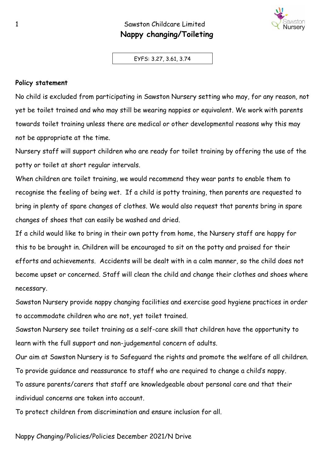## 1 Sawston Childcare Limited  **Nappy changing/Toileting**

EYFS: 3.27, 3.61, 3.74

## **Policy statement**

No child is excluded from participating in Sawston Nursery setting who may, for any reason, not yet be toilet trained and who may still be wearing nappies or equivalent. We work with parents towards toilet training unless there are medical or other developmental reasons why this may not be appropriate at the time.

Nursery staff will support children who are ready for toilet training by offering the use of the potty or toilet at short regular intervals.

When children are toilet training, we would recommend they wear pants to enable them to recognise the feeling of being wet. If a child is potty training, then parents are requested to bring in plenty of spare changes of clothes. We would also request that parents bring in spare changes of shoes that can easily be washed and dried.

If a child would like to bring in their own potty from home, the Nursery staff are happy for this to be brought in. Children will be encouraged to sit on the potty and praised for their efforts and achievements. Accidents will be dealt with in a calm manner, so the child does not become upset or concerned. Staff will clean the child and change their clothes and shoes where necessary.

Sawston Nursery provide nappy changing facilities and exercise good hygiene practices in order to accommodate children who are not, yet toilet trained.

Sawston Nursery see toilet training as a self-care skill that children have the opportunity to learn with the full support and non-judgemental concern of adults.

Our aim at Sawston Nursery is to Safeguard the rights and promote the welfare of all children. To provide guidance and reassurance to staff who are required to change a child's nappy.

To assure parents/carers that staff are knowledgeable about personal care and that their individual concerns are taken into account.

To protect children from discrimination and ensure inclusion for all.

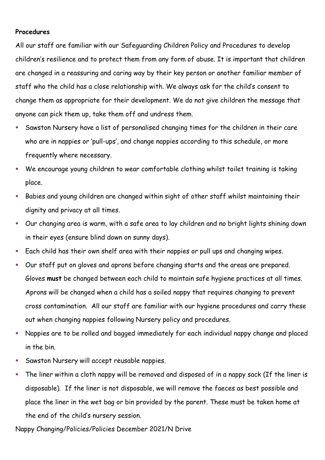## **Procedures**

All our staff are familiar with our Safeguarding Children Policy and Procedures to develop children's resilience and to protect them from any form of abuse. It is important that children are changed in a reassuring and caring way by their key person or another familiar member of staff who the child has a close relationship with. We always ask for the child's consent to change them as appropriate for their development. We do not give children the message that anyone can pick them up, take them off and undress them.

- Sawston Nursery have a list of personalised changing times for the children in their care who are in nappies or 'pull-ups', and change nappies according to this schedule, or more frequently where necessary.
- We encourage young children to wear comfortable clothing whilst toilet training is taking place.
- Babies and young children are changed within sight of other staff whilst maintaining their dignity and privacy at all times.
- Our changing area is warm, with a safe area to lay children and no bright lights shining down in their eyes (ensure blind down on sunny days).
- Each child has their own shelf area with their nappies or pull ups and changing wipes.
- Our staff put on gloves and aprons before changing starts and the areas are prepared. Gloves **must** be changed between each child to maintain safe hygiene practices at all times. Aprons will be changed when a child has a soiled nappy that requires changing to prevent cross contamination. All our staff are familiar with our hygiene procedures and carry these out when changing nappies following Nursery policy and procedures.
- Nappies are to be rolled and bagged immediately for each individual nappy change and placed in the bin.
- Sawston Nursery will accept reusable nappies.
- The liner within a cloth nappy will be removed and disposed of in a nappy sack (If the liner is disposable). If the liner is not disposable, we will remove the faeces as best possible and place the liner in the wet bag or bin provided by the parent. These must be taken home at the end of the child's nursery session.

Nappy Changing/Policies/Policies December 2021/N Drive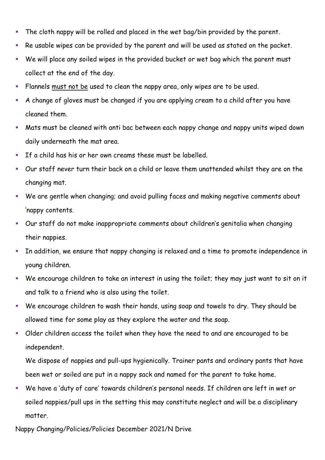- The cloth nappy will be rolled and placed in the wet bag/bin provided by the parent.
- Re usable wipes can be provided by the parent and will be used as stated on the packet.
- We will place any soiled wipes in the provided bucket or wet bag which the parent must collect at the end of the day.
- Flannels must not be used to clean the nappy area, only wipes are to be used.
- A change of gloves must be changed if you are applying cream to a child after you have cleaned them.
- Mats must be cleaned with anti bac between each nappy change and nappy units wiped down daily underneath the mat area.
- If a child has his or her own creams these must be labelled.
- Our staff never turn their back on a child or leave them unattended whilst they are on the changing mat.
- We are gentle when changing; and avoid pulling faces and making negative comments about 'nappy contents.
- Our staff do not make inappropriate comments about children's genitalia when changing their nappies.
- In addition, we ensure that nappy changing is relaxed and a time to promote independence in young children.
- We encourage children to take an interest in using the toilet; they may just want to sit on it and talk to a friend who is also using the toilet.
- We encourage children to wash their hands, using soap and towels to dry. They should be allowed time for some play as they explore the water and the soap.
- Older children access the toilet when they have the need to and are encouraged to be independent.

We dispose of nappies and pull-ups hygienically. Trainer pants and ordinary pants that have been wet or soiled are put in a nappy sack and named for the parent to take home.

We have a 'duty of care' towards children's personal needs. If children are left in wet or soiled nappies/pull ups in the setting this may constitute neglect and will be a disciplinary matter.

Nappy Changing/Policies/Policies December 2021/N Drive